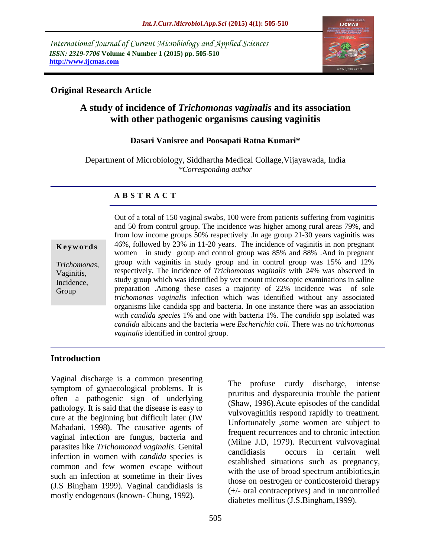*International Journal of Current Microbiology and Applied Sciences ISSN: 2319-7706* **Volume 4 Number 1 (2015) pp. 505-510 http://www.ijcmas.com** 



### **Original Research Article**

# **A study of incidence of** *Trichomonas vaginalis* **and its association with other pathogenic organisms causing vaginitis**

### **Dasari Vanisree and Poosapati Ratna Kumari\***

Department of Microbiology, Siddhartha Medical Collage,Vijayawada, India *\*Corresponding author* 

### **A B S T R A C T**

**K e y w o r d s**

*Trichomonas*, Vaginitis, Incidence, Group

Out of a total of 150 vaginal swabs, 100 were from patients suffering from vaginitis and 50 from control group. The incidence was higher among rural areas 79%, and from low income groups 50% respectively .In age group 21-30 years vaginitis was 46%, followed by 23% in 11-20 years. The incidence of vaginitis in non pregnant women in study group and control group was 85% and 88% .And in pregnant group with vaginitis in study group and in control group was 15% and 12% respectively. The incidence of *Trichomonas vaginalis* with 24% was observed in study group which was identified by wet mount microscopic examinations in saline preparation .Among these cases a majority of 22% incidence was of sole *trichomonas vaginalis* infection which was identified without any associated organisms like candida spp and bacteria. In one instance there was an association with *candida species* 1% and one with bacteria 1%. The *candida* spp isolated was *candida* albicans and the bacteria were *Escherichia coli*. There was no t*richomonas vaginalis* identified in control group.

### **Introduction**

Vaginal discharge is a common presenting symptom of gynaecological problems. It is often a pathogenic sign of underlying pathology. It is said that the disease is easy to cure at the beginning but difficult later (JW Mahadani, 1998). The causative agents of vaginal infection are fungus, bacteria and parasites like *Trichomonad vaginalis*. Genital infection in women with *candida* species is common and few women escape without such an infection at sometime in their lives (J.S Bingham 1999). Vaginal candidiasis is mostly endogenous (known- Chung, 1992).

The profuse curdy discharge, intense pruritus and dyspareunia trouble the patient (Shaw, 1996).Acute episodes of the candidal vulvovaginitis respond rapidly to treatment. Unfortunately ,some women are subject to frequent recurrences and to chronic infection (Milne J.D, 1979). Recurrent vulvovaginal candidiasis occurs in certain well established situations such as pregnancy, with the use of broad spectrum antibiotics,in those on oestrogen or conticosteroid therapy (+/- oral contraceptives) and in uncontrolled diabetes mellitus (J.S.Bingham,1999).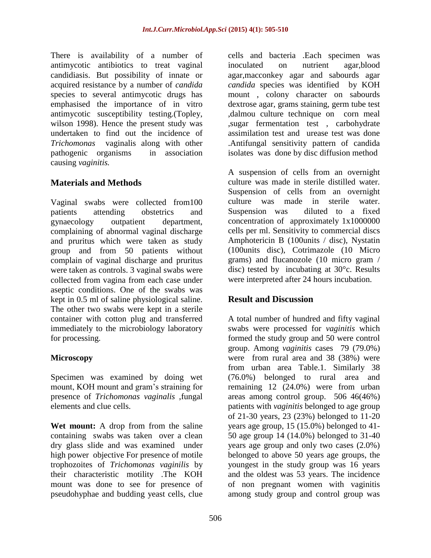There is availability of a number of antimycotic antibiotics to treat vaginal candidiasis. But possibility of innate or acquired resistance by a number of *candida* species to several antimycotic drugs has emphasised the importance of in vitro antimycotic susceptibility testing.(Topley, wilson 1998). Hence the present study was undertaken to find out the incidence of *Trichomonas* vaginalis along with other pathogenic organisms in association causing *vaginitis.*

# **Materials and Methods**

Vaginal swabs were collected from100 patients attending obstetrics and gynaecology outpatient department, complaining of abnormal vaginal discharge and pruritus which were taken as study group and from 50 patients without complain of vaginal discharge and pruritus were taken as controls. 3 vaginal swabs were collected from vagina from each case under aseptic conditions. One of the swabs was kept in 0.5 ml of saline physiological saline. The other two swabs were kept in a sterile container with cotton plug and transferred immediately to the microbiology laboratory for processing.

## **Microscopy**

Specimen was examined by doing wet mount, KOH mount and gram's straining for presence of *Trichomonas vaginalis* ,fungal elements and clue cells.

**Wet mount:** A drop from from the saline containing swabs was taken over a clean dry glass slide and was examined under high power objective For presence of motile trophozoites of *Trichomonas vaginilis* by their characteristic motility .The KOH mount was done to see for presence of pseudohyphae and budding yeast cells, clue

cells and bacteria .Each specimen was inoculated on nutrient agar,blood agar,macconkey agar and sabourds agar *candida* species was identified by KOH mount , colony character on sabourds dextrose agar, grams staining, germ tube test ,dalmou culture technique on corn meal ,sugar fermentation test , carbohydrate assimilation test and urease test was done .Antifungal sensitivity pattern of candida isolates was done by disc diffusion method

A suspension of cells from an overnight culture was made in sterile distilled water. Suspension of cells from an overnight culture was made in sterile water. Suspension was diluted to a fixed concentration of approximately 1x1000000 cells per ml. Sensitivity to commercial discs Amphotericin B (100units / disc), Nystatin (100units disc), Cotrimazole (10 Micro grams) and flucanozole (10 micro gram / disc) tested by incubating at 30°c. Results were interpreted after 24 hours incubation.

# **Result and Discussion**

A total number of hundred and fifty vaginal swabs were processed for *vaginitis* which formed the study group and 50 were control group. Among *vaginitis* cases 79 (79.0%) were from rural area and 38 (38%) were from urban area Table.1. Similarly 38 (76.0%) belonged to rural area and remaining 12 (24.0%) were from urban areas among control group. 506 46(46%) patients with *vaginitis* belonged to age group of 21-30 years, 23 (23%) belonged to 11-20 years age group, 15 (15.0%) belonged to 41- 50 age group 14 (14.0%) belonged to 31-40 years age group and only two cases (2.0%) belonged to above 50 years age groups, the youngest in the study group was 16 years and the oldest was 53 years. The incidence of non pregnant women with vaginitis among study group and control group was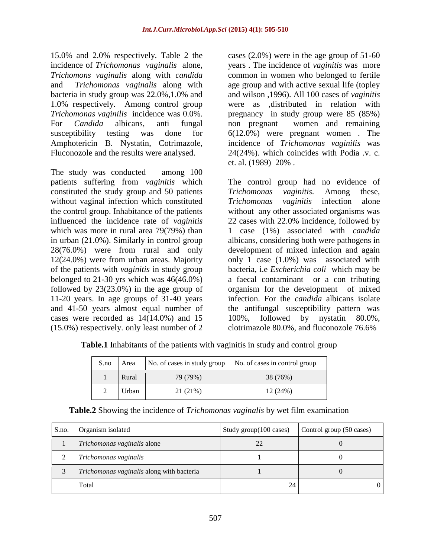15.0% and 2.0% respectively. Table 2 the incidence of *Trichomonas vaginalis* alone, *Trichomons vaginalis* along with *candida* and *Trichomonas vaginalis* along with bacteria in study group was 22.0%,1.0% and 1.0% respectively. Among control group *Trichomonas vaginilis* incidence was 0.0%. For *Candida* albicans, anti fungal susceptibility testing was done for Amphotericin B. Nystatin, Cotrimazole, Fluconozole and the results were analysed.

The study was conducted among 100 patients suffering from *vaginitis* which constituted the study group and 50 patients without vaginal infection which constituted the control group. Inhabitance of the patients influenced the incidence rate of *vaginitis* which was more in rural area 79(79%) than in urban (21.0%). Similarly in control group 28(76.0%) were from rural and only 12(24.0%) were from urban areas. Majority of the patients with *vaginitis* in study group belonged to  $21-30$  yrs which was  $46(46.0\%)$ followed by 23(23.0%) in the age group of 11-20 years. In age groups of 31-40 years and 41-50 years almost equal number of cases were recorded as 14(14.0%) and 15 (15.0%) respectively. only least number of 2

cases (2.0%) were in the age group of 51-60 years . The incidence of *vaginitis* was more common in women who belonged to fertile age group and with active sexual life (topley and wilson ,1996). All 100 cases of *vaginitis* were as ,distributed in relation with pregnancy in study group were 85 (85%) non pregnant women and remaining 6(12.0%) were pregnant women . The incidence of *Trichomonas vaginilis* was 24(24%). which coincides with Podia .v. c. et. al. (1989) 20% .

The control group had no evidence of *Trichomonas vaginitis.* Among these, *Trichomonas vaginitis* infection alone without any other associated organisms was 22 cases with 22.0% incidence, followed by 1 case (1%) associated with *candida*  albicans, considering both were pathogens in development of mixed infection and again only 1 case (1.0%) was associated with bacteria, i.e *Escherichia coli* which may be a faecal contaminant or a con tributing organism for the development of mixed infection. For the *candida* albicans isolate the antifungal susceptibility pattern was 100%, followed by nystatin 80.0%, clotrimazole 80.0%, and fluconozole 76.6%

**Table.1** Inhabitants of the patients with vaginitis in study and control group

| S.no | Area  | No. of cases in study group | No. of cases in control group |  |
|------|-------|-----------------------------|-------------------------------|--|
|      | Rural | 79 (79%)                    | 38 (76%)                      |  |
|      | Urban | 21 (21%)                    | 12(24%)                       |  |

| S.no. | Organism isolated                         | Study group(100 cases) | Control group (50 cases) |
|-------|-------------------------------------------|------------------------|--------------------------|
|       | Trichomonas vaginalis alone               | 22                     |                          |
|       | Trichomonas vaginalis                     |                        |                          |
|       | Trichomonas vaginalis along with bacteria |                        |                          |
|       | Total                                     | 24                     |                          |

**Table.2** Showing the incidence of *Trichomonas vaginalis* by wet film examination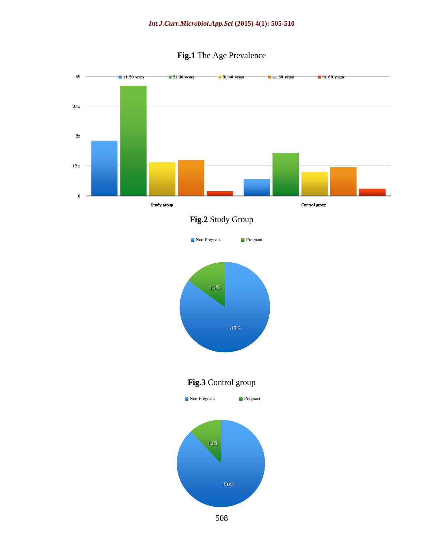

# **Fig.1** The Age Prevalence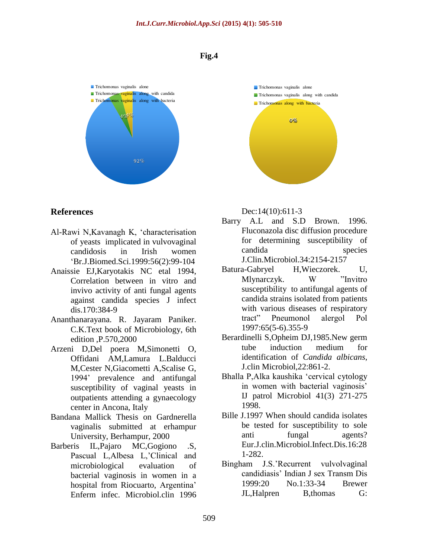#### **Fig.4**



#### **References**

- Al-Rawi N,Kavanagh K, 'characterisation of yeasts implicated in vulvovaginal candidosis in Irish women 'Br.J.Biomed.Sci.1999:56(2):99-104
- Anaissie EJ,Karyotakis NC etal 1994, Correlation between in vitro and invivo activity of anti fungal agents against candida species J infect dis.170:384-9
- Ananthanarayana. R. Jayaram Paniker. C.K.Text book of Microbiology, 6th edition ,P.570,2000
- Arzeni D,Del poera M,Simonetti O, Offidani AM,Lamura L.Balducci M,Cester N,Giacometti A,Scalise G, 1994' prevalence and antifungal susceptibility of vaginal yeasts in outpatients attending a gynaecology center in Ancona, Italy
- Bandana Mallick Thesis on Gardnerella vaginalis submitted at erhampur University, Berhampur, 2000
- Barberis IL,Pajaro MC,Gogiono .S, Pascual L,Albesa L,'Clinical and microbiological evaluation of bacterial vaginosis in women in a hospital from Riocuarto, Argentina' Enferm infec. Microbiol.clin 1996



#### Dec:14(10):611-3

- Barry A.L and S.D Brown. 1996. Fluconazola disc diffusion procedure for determining susceptibility of candida species J.Clin.Microbiol.34:2154-2157
- Batura-Gabryel H,Wieczorek. U, Mlynarczyk. W "Invitro susceptibility to antifungal agents of candida strains isolated from patients with various diseases of respiratory tract" Pneumonol alergol Pol 1997:65(5-6).355-9
- Berardinelli S,Opheim DJ,1985.New germ tube induction medium for identification of *Candida albicans*, J.clin Microbiol,22:861-2.
- Bhalla P,Alka kaushika 'cervical cytology in women with bacterial vaginosis' IJ patrol Microbiol 41(3) 271-275 1998.
- Bille J.1997 When should candida isolates be tested for susceptibility to sole anti fungal agents? Eur.J.clin.Microbiol.Infect.Dis.16:28 1-282.
- Bingham J.S.'Recurrent vulvolvaginal candidiasis' Indian J sex Transm Dis 1999:20 No.1:33-34 Brewer JL,Halpren B,thomas G: